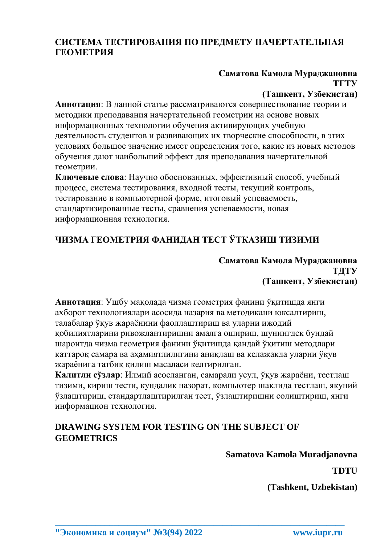## **СИСТЕМА ТЕСТИРОВАНИЯ ПО ПРЕДМЕТУ НАЧЕРТАТЕЛЬНАЯ ГЕОМЕТРИЯ**

# **Саматова Камола Мураджановна ТГТУ**

### **(Ташкент, Узбекистан)**

**Аннотация**: В данной статье рассматриваются совершествование теории и методики преподавания начертательной геометрии на основе новых информационных технологии обучения активирующих учебную деятельность студентов и развивающих их творческие способности, в этих условиях большое значение имеет определения того, какие из новых методов обучения дают наибольший эффект для преподавания начертательной геометрии.

**Ключевые слова**: Научно обоснованных, эффективный способ, учебный процесс, система тестирования, входной тесты, текущий контроль, тестирование в компьютерной форме, итоговый успеваемость, стандартизированные тесты, сравнения успеваемости, новая информационная технология.

## **ЧИЗМА ГЕОМЕТРИЯ ФАНИДАН ТЕСТ ЎТКАЗИШ ТИЗИМИ**

#### **Саматова Камола Мураджановна ТДТУ (Ташкент, Узбекистан)**

**Аннотация**: Ушбу мақолада чизма геометрия фанини ўқитишда янги ахборот технологиялари асосида назария ва методикани юксалтириш, талабалар ўқув жараёнини фаоллаштириш ва уларни ижодий қобилиятларини ривожлантиришни амалга ошириш, шунингдек бундай шароитда чизма геометрия фанини ўқитишда қандай ўқитиш методлари каттароқ самара ва аҳамиятлилигини аниқлаш ва келажакда уларни ўқув жараёнига татбиқ қилиш масаласи келтирилган.

**Калитли сўзлар**: Илмий асосланган, самарали усул, ўқув жараёни, тестлаш тизими, кириш тести, кундалик назорат, компьютер шаклида тестлаш, якуний ўзлаштириш, стандартлаштирилган тест, ўзлаштиришни солиштириш, янги информацион технология.

**\_\_\_\_\_\_\_\_\_\_\_\_\_\_\_\_\_\_\_\_\_\_\_\_\_\_\_\_\_\_\_\_\_\_\_\_\_\_\_\_\_\_\_\_\_\_\_\_\_\_\_\_\_\_\_\_\_\_\_\_\_\_\_\_**

## **DRAWING SYSTEM FOR TESTING ON THE SUBJECT OF GEOMETRICS**

### **Samatova Kamola Muradjanovna**

#### **TDTU**

**(Tashkent, Uzbekistan)**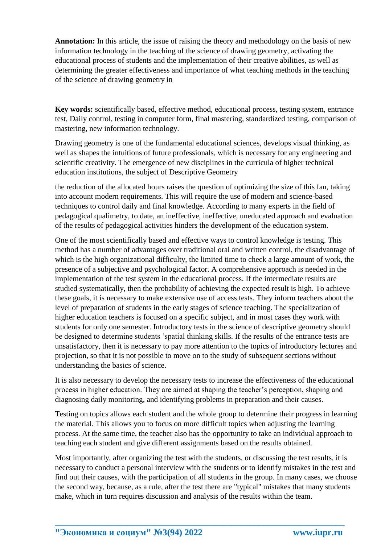**Annotation:** In this article, the issue of raising the theory and methodology on the basis of new information technology in the teaching of the science of drawing geometry, activating the educational process of students and the implementation of their creative abilities, as well as determining the greater effectiveness and importance of what teaching methods in the teaching of the science of drawing geometry in

**Key words:** scientifically based, effective method, educational process, testing system, entrance test, Daily control, testing in computer form, final mastering, standardized testing, comparison of mastering, new information technology.

Drawing geometry is one of the fundamental educational sciences, develops visual thinking, as well as shapes the intuitions of future professionals, which is necessary for any engineering and scientific creativity. The emergence of new disciplines in the curricula of higher technical education institutions, the subject of Descriptive Geometry

the reduction of the allocated hours raises the question of optimizing the size of this fan, taking into account modern requirements. This will require the use of modern and science-based techniques to control daily and final knowledge. According to many experts in the field of pedagogical qualimetry, to date, an ineffective, ineffective, uneducated approach and evaluation of the results of pedagogical activities hinders the development of the education system.

One of the most scientifically based and effective ways to control knowledge is testing. This method has a number of advantages over traditional oral and written control, the disadvantage of which is the high organizational difficulty, the limited time to check a large amount of work, the presence of a subjective and psychological factor. A comprehensive approach is needed in the implementation of the test system in the educational process. If the intermediate results are studied systematically, then the probability of achieving the expected result is high. To achieve these goals, it is necessary to make extensive use of access tests. They inform teachers about the level of preparation of students in the early stages of science teaching. The specialization of higher education teachers is focused on a specific subject, and in most cases they work with students for only one semester. Introductory tests in the science of descriptive geometry should be designed to determine students 'spatial thinking skills. If the results of the entrance tests are unsatisfactory, then it is necessary to pay more attention to the topics of introductory lectures and projection, so that it is not possible to move on to the study of subsequent sections without understanding the basics of science.

It is also necessary to develop the necessary tests to increase the effectiveness of the educational process in higher education. They are aimed at shaping the teacher's perception, shaping and diagnosing daily monitoring, and identifying problems in preparation and their causes.

Testing on topics allows each student and the whole group to determine their progress in learning the material. This allows you to focus on more difficult topics when adjusting the learning process. At the same time, the teacher also has the opportunity to take an individual approach to teaching each student and give different assignments based on the results obtained.

Most importantly, after organizing the test with the students, or discussing the test results, it is necessary to conduct a personal interview with the students or to identify mistakes in the test and find out their causes, with the participation of all students in the group. In many cases, we choose the second way, because, as a rule, after the test there are "typical" mistakes that many students make, which in turn requires discussion and analysis of the results within the team.

**\_\_\_\_\_\_\_\_\_\_\_\_\_\_\_\_\_\_\_\_\_\_\_\_\_\_\_\_\_\_\_\_\_\_\_\_\_\_\_\_\_\_\_\_\_\_\_\_\_\_\_\_\_\_\_\_\_\_\_\_\_\_\_\_**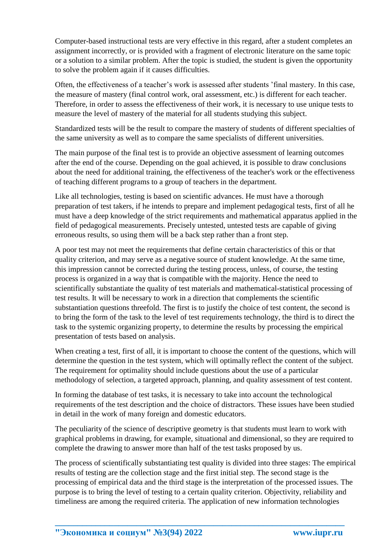Computer-based instructional tests are very effective in this regard, after a student completes an assignment incorrectly, or is provided with a fragment of electronic literature on the same topic or a solution to a similar problem. After the topic is studied, the student is given the opportunity to solve the problem again if it causes difficulties.

Often, the effectiveness of a teacher's work is assessed after students 'final mastery. In this case, the measure of mastery (final control work, oral assessment, etc.) is different for each teacher. Therefore, in order to assess the effectiveness of their work, it is necessary to use unique tests to measure the level of mastery of the material for all students studying this subject.

Standardized tests will be the result to compare the mastery of students of different specialties of the same university as well as to compare the same specialists of different universities.

The main purpose of the final test is to provide an objective assessment of learning outcomes after the end of the course. Depending on the goal achieved, it is possible to draw conclusions about the need for additional training, the effectiveness of the teacher's work or the effectiveness of teaching different programs to a group of teachers in the department.

Like all technologies, testing is based on scientific advances. He must have a thorough preparation of test takers, if he intends to prepare and implement pedagogical tests, first of all he must have a deep knowledge of the strict requirements and mathematical apparatus applied in the field of pedagogical measurements. Precisely untested, untested tests are capable of giving erroneous results, so using them will be a back step rather than a front step.

A poor test may not meet the requirements that define certain characteristics of this or that quality criterion, and may serve as a negative source of student knowledge. At the same time, this impression cannot be corrected during the testing process, unless, of course, the testing process is organized in a way that is compatible with the majority. Hence the need to scientifically substantiate the quality of test materials and mathematical-statistical processing of test results. It will be necessary to work in a direction that complements the scientific substantiation questions threefold. The first is to justify the choice of test content, the second is to bring the form of the task to the level of test requirements technology, the third is to direct the task to the systemic organizing property, to determine the results by processing the empirical presentation of tests based on analysis.

When creating a test, first of all, it is important to choose the content of the questions, which will determine the question in the test system, which will optimally reflect the content of the subject. The requirement for optimality should include questions about the use of a particular methodology of selection, a targeted approach, planning, and quality assessment of test content.

In forming the database of test tasks, it is necessary to take into account the technological requirements of the test description and the choice of distractors. These issues have been studied in detail in the work of many foreign and domestic educators.

The peculiarity of the science of descriptive geometry is that students must learn to work with graphical problems in drawing, for example, situational and dimensional, so they are required to complete the drawing to answer more than half of the test tasks proposed by us.

The process of scientifically substantiating test quality is divided into three stages: The empirical results of testing are the collection stage and the first initial step. The second stage is the processing of empirical data and the third stage is the interpretation of the processed issues. The purpose is to bring the level of testing to a certain quality criterion. Objectivity, reliability and timeliness are among the required criteria. The application of new information technologies

**\_\_\_\_\_\_\_\_\_\_\_\_\_\_\_\_\_\_\_\_\_\_\_\_\_\_\_\_\_\_\_\_\_\_\_\_\_\_\_\_\_\_\_\_\_\_\_\_\_\_\_\_\_\_\_\_\_\_\_\_\_\_\_\_**